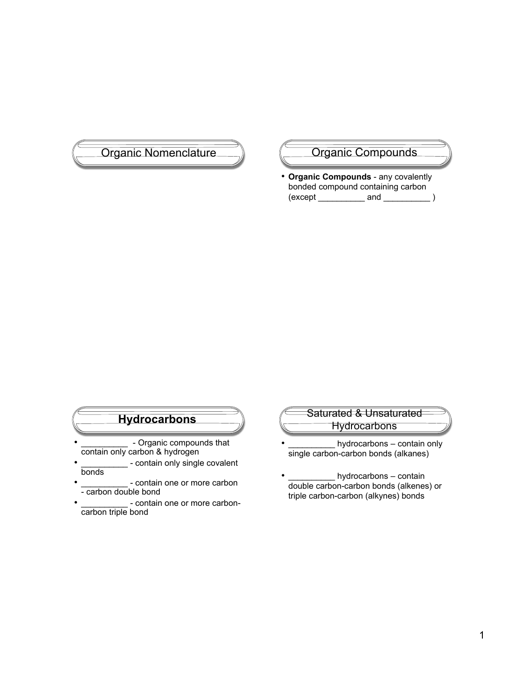

• **Organic Compounds** - any covalently bonded compound containing carbon  $(except \_ and \_ )$ 

# **Hydrocarbons**

- \_\_\_\_\_\_\_\_\_\_\_\_\_ Organic compounds that contain only carbon & hydrogen
- \_- contain only single covalent bonds
- contain one or more carbon - carbon double bond
- contain one or more carboncarbon triple bond

## Saturated & Unsaturated **Hydrocarbons**

- hydrocarbons contain only single carbon-carbon bonds (alkanes)
- $\_$  hydrocarbons contain double carbon-carbon bonds (alkenes) or triple carbon-carbon (alkynes) bonds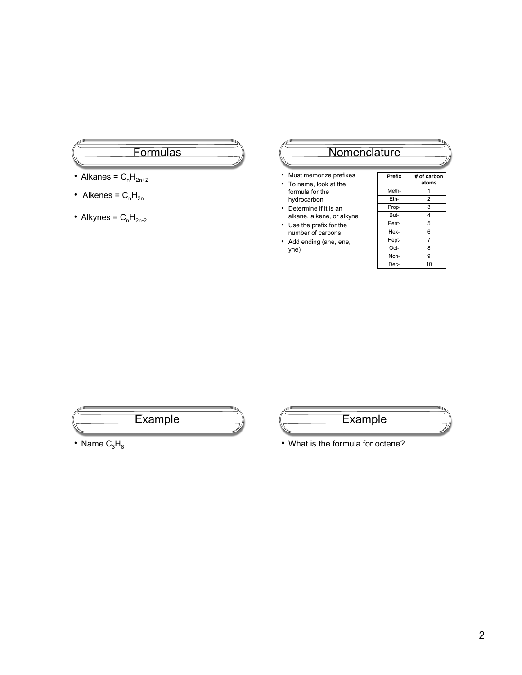#### **Formulas**

- Alkanes =  $C_nH_{2n+2}$
- Alkenes =  $C_nH_{2n}$
- Alkynes =  $C_nH_{2n-2}$

### **Nomenclature**

- Must memorize prefixes
- To name, look at the formula for the hydrocarbon
- Determine if it is an alkane, alkene, or alkyne
- Use the prefix for the number of carbons
- Add ending (ane, ene, yne)

| Prefix | # of carbon<br>atoms |
|--------|----------------------|
| Meth-  | 1                    |
| Eth-   | $\overline{2}$       |
| Prop-  | 3                    |
| But-   | 4                    |
| Pent-  | 5                    |
| Hex-   | 6                    |
| Hept-  | $\overline{7}$       |
| Oct-   | 8                    |
| Non-   | 9                    |
| Dec-   | 10                   |
|        |                      |





• What is the formula for octene?